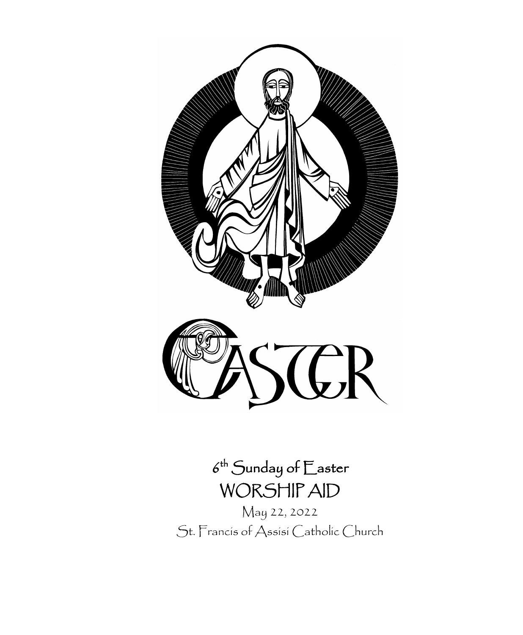

# $6^{\text{th}}$  Sunday of  $\mathop{E}\nolimits$ aster WORSHIP AID

May 22, 2022 St. Francis of Assisi Catholic Church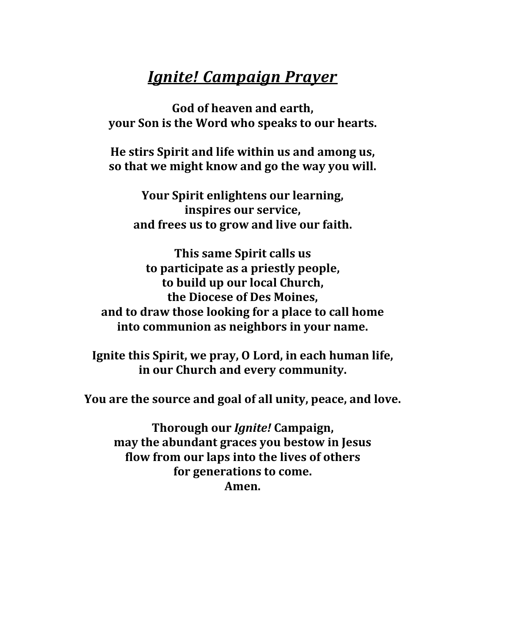# *Ignite! Campaign Prayer*

**God of heaven and earth, your Son is the Word who speaks to our hearts.**

**He stirs Spirit and life within us and among us, so that we might know and go the way you will.**

**Your Spirit enlightens our learning, inspires our service, and frees us to grow and live our faith.**

**This same Spirit calls us to participate as a priestly people, to build up our local Church, the Diocese of Des Moines, and to draw those looking for a place to call home into communion as neighbors in your name.**

**Ignite this Spirit, we pray, O Lord, in each human life, in our Church and every community.**

**You are the source and goal of all unity, peace, and love.**

**Thorough our** *Ignite!* **Campaign, may the abundant graces you bestow in Jesus flow from our laps into the lives of others for generations to come. Amen.**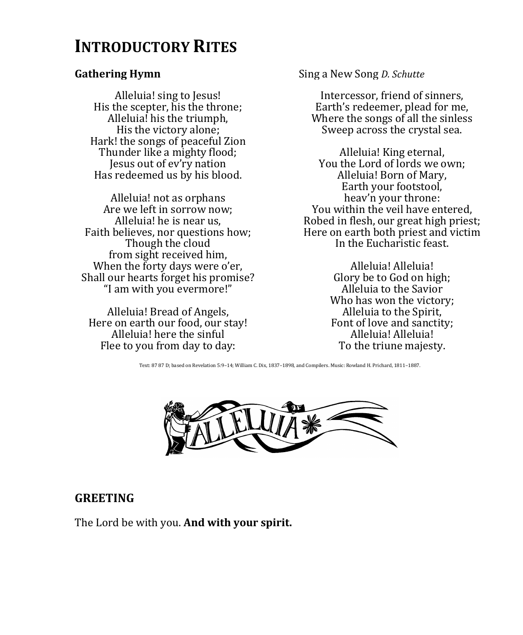# **INTRODUCTORY RITES**

Alleluia! sing to Jesus! His the scepter, his the throne; Alleluia! his the triumph, His the victory alone; Hark! the songs of peaceful Zion Thunder like a mighty flood; Jesus out of ev'ry nation Has redeemed us by his blood.

Alleluia! not as orphans Are we left in sorrow now; Alleluia! he is near us, Faith believes, nor questions how; Though the cloud from sight received him, When the forty days were o'er, Shall our hearts forget his promise? "I am with you evermore!"

Alleluia! Bread of Angels, Here on earth our food, our stay! Alleluia! here the sinful Flee to you from day to day:

**Gathering Hymn** Sing a New Song *D. Schutte* 

Intercessor, friend of sinners, Earth's redeemer, plead for me, Where the songs of all the sinless Sweep across the crystal sea.

Alleluia! King eternal, You the Lord of lords we own; Alleluia! Born of Mary, Earth your footstool, heav'n your throne: You within the veil have entered, Robed in flesh, our great high priest; Here on earth both priest and victim In the Eucharistic feast.

> Alleluia! Alleluia! Glory be to God on high; Alleluia to the Savior Who has won the victory; Alleluia to the Spirit, Font of love and sanctity; Alleluia! Alleluia! To the triune majesty.

Text: 87 87 D; based on Revelation 5:9–14; William C. Dix, 1837–1898, and Compilers. Music: Rowland H. Prichard, 1811–1887.



## **GREETING**

The Lord be with you. **And with your spirit.**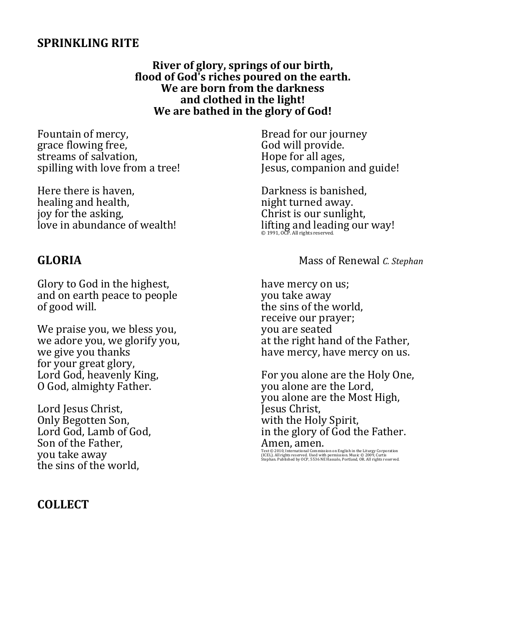### **SPRINKLING RITE**

**River of glory, springs of our birth, flood of God's riches poured on the earth. We are born from the darkness and clothed in the light! We are bathed in the glory of God!**

Fountain of mercy, grace flowing free, streams of salvation, spilling with love from a tree!

Here there is haven, healing and health, joy for the asking, love in abundance of wealth!

Glory to God in the highest, and on earth peace to people of good will.

We praise you, we bless you, we adore you, we glorify you, we give you thanks for your great glory, Lord God, heavenly King, O God, almighty Father.

Lord Jesus Christ, Only Begotten Son, Lord God, Lamb of God, Son of the Father, you take away the sins of the world,

### **COLLECT**

Bread for our journey God will provide. Hope for all ages, Jesus, companion and guide!

Darkness is banished, night turned away. Christ is our sunlight, lifting and leading our way!

### **GLORIA** Mass of Renewal *C. Stephan*

have mercy on us; you take away the sins of the world, receive our prayer; you are seated at the right hand of the Father, have mercy, have mercy on us.

For you alone are the Holy One, you alone are the Lord, you alone are the Most High, Jesus Christ, with the Holy Spirit, in the glory of God the Father. Amen, amen.

Text © 2010, International Commission on English in the Liturgy Corporation<br>(ICEL). All rights reserved. Used with permission. Music © 2009, Curtis<br>Stephan. Published by OCP, 5536 NE Hassalo, Portland, OR. All rights rese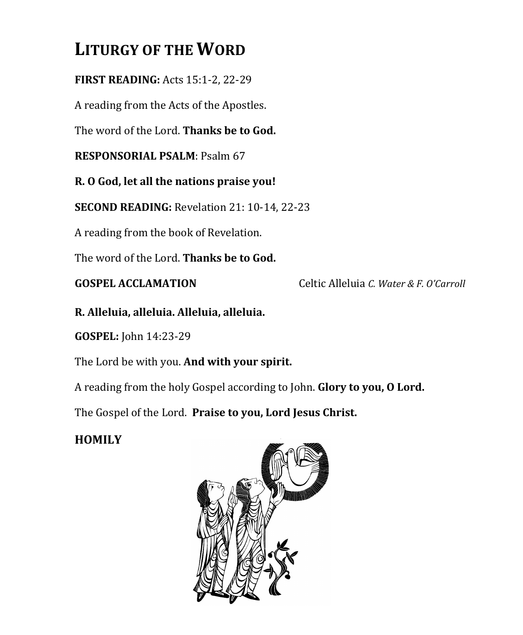# **LITURGY OF THE WORD**

**FIRST READING:** Acts 15:1-2, 22-29

A reading from the Acts of the Apostles.

The word of the Lord. **Thanks be to God.**

**RESPONSORIAL PSALM**: Psalm 67

**R. O God, let all the nations praise you!**

**SECOND READING:** Revelation 21: 10-14, 22-23

A reading from the book of Revelation.

The word of the Lord. **Thanks be to God.**

**GOSPEL ACCLAMATION** Celtic Alleluia *C. Water & F. O'Carroll*

**R. Alleluia, alleluia. Alleluia, alleluia.**

**GOSPEL:** John 14:23-29

The Lord be with you. **And with your spirit.**

A reading from the holy Gospel according to John. **Glory to you, O Lord.**

The Gospel of the Lord. **Praise to you, Lord Jesus Christ.**

# **HOMILY**

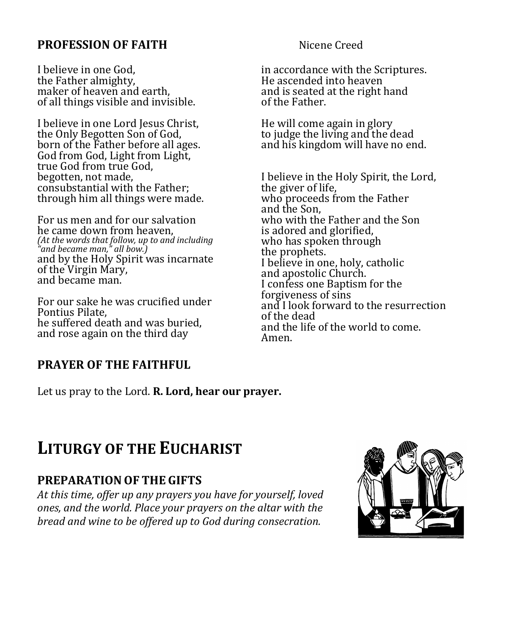## **PROFESSION OF FAITH** Nicene Creed

I believe in one God, the Father almighty, maker of heaven and earth, of all things visible and invisible.

I believe in one Lord Jesus Christ, the Only Begotten Son of God, born of the Father before all ages. God from God, Light from Light, true God from true God, begotten, not made, consubstantial with the Father; through him all things were made.

For us men and for our salvation he came down from heaven, *(At the words that follow, up to and including "and became man," all bow.)* and by the Holy Spirit was incarnate of the Virgin Mary, and became man.

For our sake he was crucified under Pontius Pilate, he suffered death and was buried, and rose again on the third day

# **PRAYER OF THE FAITHFUL**

Let us pray to the Lord. **R. Lord, hear our prayer.**

in accordance with the Scriptures. He ascended into heaven and is seated at the right hand of the Father.

He will come again in glory to judge the living and the dead and his kingdom will have no end.

I believe in the Holy Spirit, the Lord, the giver of life, who proceeds from the Father and the Son, who with the Father and the Son is adored and glorified, who has spoken through the prophets. I believe in one, holy, catholic and apostolic Church. I confess one Baptism for the forgiveness of sins and I look forward to the resurrection of the dead and the life of the world to come. Amen.

# **LITURGY OF THE EUCHARIST**

# **PREPARATIONOF THE GIFTS**

*At this time, offer up any prayers you have for yourself, loved ones, and the world. Place your prayers on the altar with the bread and wine to be offered up to God during consecration.*

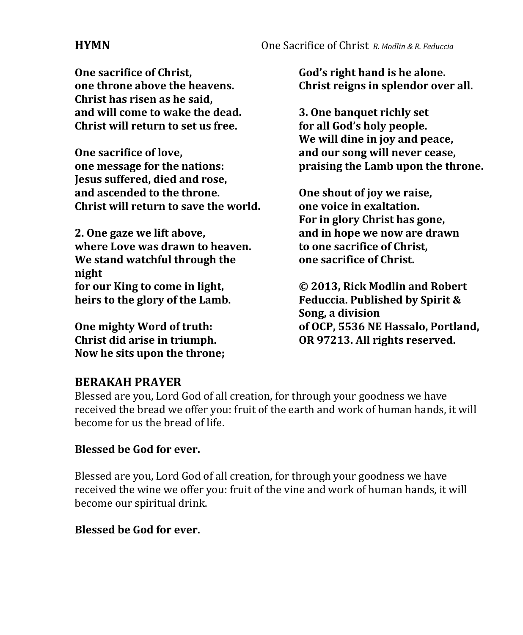**One sacrifice of Christ, one throne above the heavens. Christ has risen as he said, and will come to wake the dead. Christ will return to set us free.** 

**One sacrifice of love, one message for the nations: Jesus suffered, died and rose, and ascended to the throne. Christ will return to save the world.**

**2. One gaze we lift above, where Love was drawn to heaven. We stand watchful through the night for our King to come in light, heirs to the glory of the Lamb.**

**One mighty Word of truth: Christ did arise in triumph. Now he sits upon the throne;**

**God's right hand is he alone. Christ reigns in splendor over all.**

**3. One banquet richly set for all God's holy people. We will dine in joy and peace, and our song will never cease, praising the Lamb upon the throne.**

**One shout of joy we raise, one voice in exaltation. For in glory Christ has gone, and in hope we now are drawn to one sacrifice of Christ, one sacrifice of Christ.**

**© 2013, Rick Modlin and Robert Feduccia. Published by Spirit & Song, a division of OCP, 5536 NE Hassalo, Portland, OR 97213. All rights reserved.**

## **BERAKAH PRAYER**

Blessed are you, Lord God of all creation, for through your goodness we have received the bread we offer you: fruit of the earth and work of human hands, it will become for us the bread of life.

## **Blessed be God for ever.**

Blessed are you, Lord God of all creation, for through your goodness we have received the wine we offer you: fruit of the vine and work of human hands, it will become our spiritual drink.

## **Blessed be God for ever.**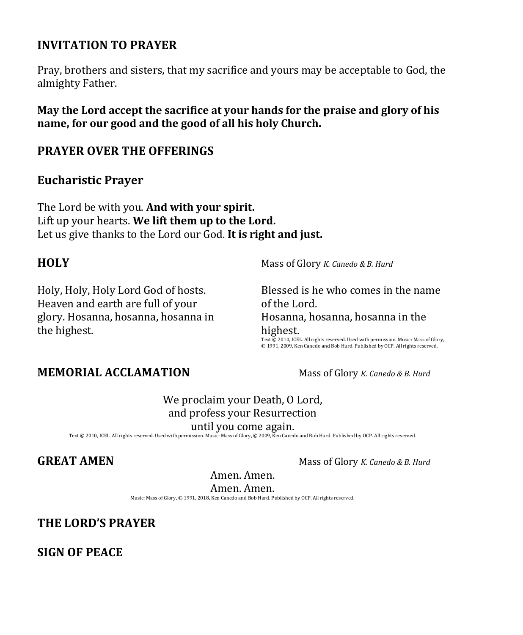## **INVITATION TO PRAYER**

Pray, brothers and sisters, that my sacrifice and yours may be acceptable to God, the almighty Father.

**May the Lord accept the sacrifice at your hands for the praise and glory of his name, for our good and the good of all his holy Church.**

## **PRAYER OVER THE OFFERINGS**

### **Eucharistic Prayer**

The Lord be with you. **And with your spirit.** Lift up your hearts. **We lift them up to the Lord.** Let us give thanks to the Lord our God. **It is right and just.**

Holy, Holy, Holy Lord God of hosts. Heaven and earth are full of your glory. Hosanna, hosanna, hosanna in the highest.

**HOLY** Mass of Glory *K. Canedo & B. Hurd*

Blessed is he who comes in the name of the Lord. Hosanna, hosanna, hosanna in the highest. Text © 2010, ICEL. All rights reserved. Used with permission. Music: Mass of Glory, © 1991, 2009, Ken Canedo and Bob Hurd. Published by OCP. All rights reserved.

## **MEMORIAL ACCLAMATION** Mass of Glory *K. Canedo & B. Hurd*

We proclaim your Death, O Lord, and profess your Resurrection until you come again.

Text © 2010, ICEL. All rights reserved. Used with permission. Music: Mass of Glory, © 2009, Ken Canedo and Bob Hurd. Published by OCP. All rights reserved.

**GREAT AMEN** Mass of Glory *K. Canedo & B. Hurd* 

Amen. Amen.

Amen. Amen.

Music: Mass of Glory, © 1991, 2018, Ken Canedo and Bob Hurd. Published by OCP. All rights reserved.

**THE LORD'S PRAYER** 

**SIGN OF PEACE**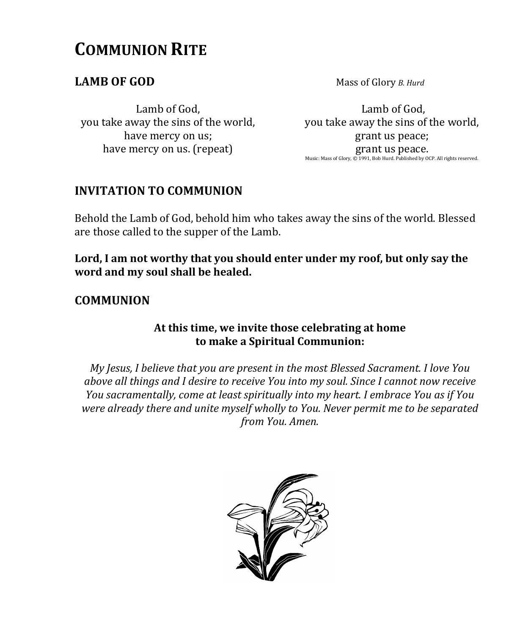# **COMMUNION RITE**

**LAMB OF GOD** Mass of Glory *B. Hurd* 

Lamb of God, you take away the sins of the world, have mercy on us; have mercy on us. (repeat)

Lamb of God, you take away the sins of the world, grant us peace; grant us peace. Music: Mass of Glory, © 1991, Bob Hurd. Published by OCP. All rights reserved.

# **INVITATION TO COMMUNION**

Behold the Lamb of God, behold him who takes away the sins of the world. Blessed are those called to the supper of the Lamb.

**Lord, I am not worthy that you should enter under my roof, but only say the word and my soul shall be healed.** 

# **COMMUNION**

### **At this time, we invite those celebrating at home to make a Spiritual Communion:**

*My Jesus, I believe that you are present in the most Blessed Sacrament. I love You above all things and I desire to receive You into my soul. Since I cannot now receive You sacramentally, come at least spiritually into my heart. I embrace You as if You were already there and unite myself wholly to You. Never permit me to be separated from You. Amen.*

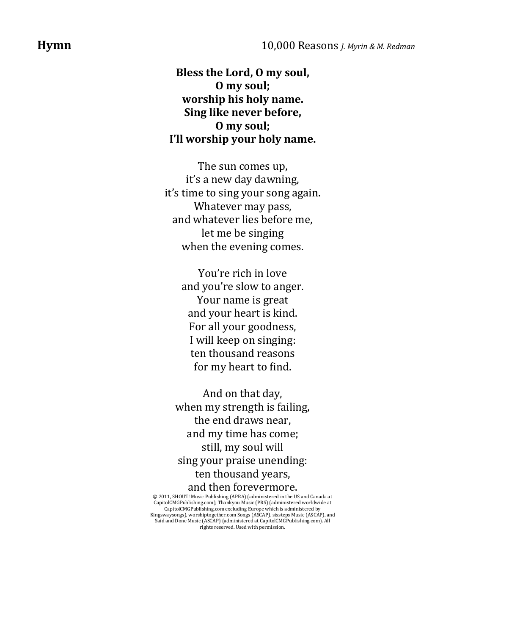**Bless the Lord, O my soul, O my soul; worship his holy name. Sing like never before, O my soul; I'll worship your holy name.**

The sun comes up, it's a new day dawning, it's time to sing your song again. Whatever may pass, and whatever lies before me, let me be singing when the evening comes.

> You're rich in love and you're slow to anger. Your name is great and your heart is kind. For all your goodness, I will keep on singing: ten thousand reasons for my heart to find.

And on that day, when my strength is failing, the end draws near, and my time has come; still, my soul will sing your praise unending: ten thousand years, and then forevermore.

© 2011, SHOUT! Music Publishing (APRA) (administered in the US and Canada at CapitoICMCPublishing.com), Thankyou Music (PRS) (administered worldwide at CapitoICMCPublishing.com excluding Europe which is administered by<br>Cap Said and Done Music (ASCAP) (administered at CapitolCMGPublishing.com). All rights reserved. Used with permission.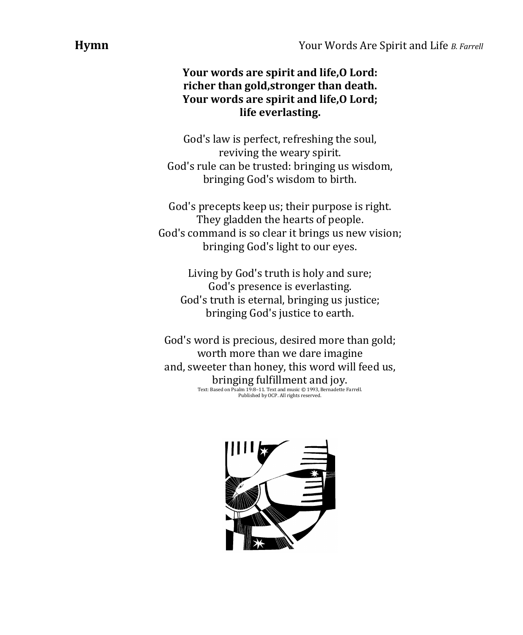## **Your words are spirit and life,O Lord: richer than gold,stronger than death. Your words are spirit and life,O Lord; life everlasting.**

God's law is perfect, refreshing the soul, reviving the weary spirit. God's rule can be trusted: bringing us wisdom, bringing God's wisdom to birth.

God's precepts keep us; their purpose is right. They gladden the hearts of people. God's command is so clear it brings us new vision; bringing God's light to our eyes.

Living by God's truth is holy and sure; God's presence is everlasting. God's truth is eternal, bringing us justice; bringing God's justice to earth.

God's word is precious, desired more than gold; worth more than we dare imagine and, sweeter than honey, this word will feed us, bringing fulfillment and joy. Text: Based on Psalm 19:8–11. Text and music © 1993, Bernadette Farrell. Published by OCP. All rights reserved.

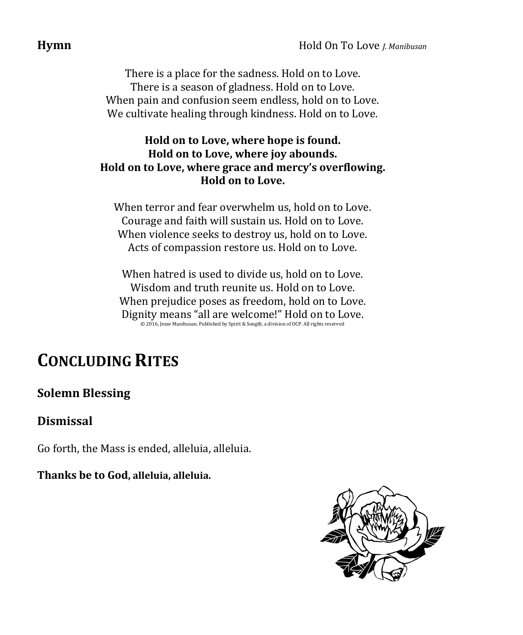There is a place for the sadness. Hold on to Love. There is a season of gladness. Hold on to Love. When pain and confusion seem endless, hold on to Love. We cultivate healing through kindness. Hold on to Love.

## **Hold on to Love, where hope is found. Hold on to Love, where joy abounds. Hold on to Love, where grace and mercy's overflowing. Hold on to Love.**

When terror and fear overwhelm us, hold on to Love. Courage and faith will sustain us. Hold on to Love. When violence seeks to destroy us, hold on to Love. Acts of compassion restore us. Hold on to Love.

When hatred is used to divide us, hold on to Love. Wisdom and truth reunite us. Hold on to Love. When prejudice poses as freedom, hold on to Love. Dignity means "all are welcome!" Hold on to Love. © 2016, Jesse Manibusan. Published by Spirit & Song®, a division of OCP. All rights reserved

# **CONCLUDING RITES**

# **Solemn Blessing**

# **Dismissal**

Go forth, the Mass is ended, alleluia, alleluia.

**Thanks be to God, alleluia, alleluia.**

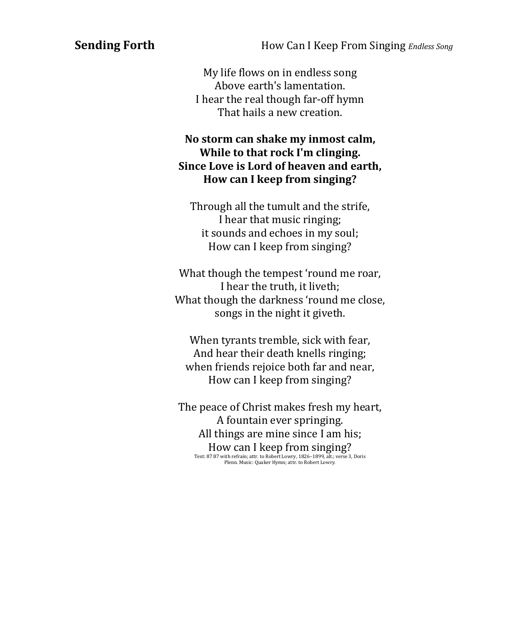**Sending Forth How Can I Keep From Singing** *Endless Song* 

My life flows on in endless song Above earth's lamentation. I hear the real though far-off hymn That hails a new creation.

### **No storm can shake my inmost calm, While to that rock I'm clinging. Since Love is Lord of heaven and earth, How can I keep from singing?**

Through all the tumult and the strife, I hear that music ringing; it sounds and echoes in my soul; How can I keep from singing?

What though the tempest 'round me roar, I hear the truth, it liveth; What though the darkness 'round me close, songs in the night it giveth.

When tyrants tremble, sick with fear, And hear their death knells ringing; when friends rejoice both far and near, How can I keep from singing?

The peace of Christ makes fresh my heart, A fountain ever springing. All things are mine since I am his; How can I keep from singing?

Text: 87 87 with refrain; attr. to Robert Lowry, 1826–1899, alt.; verse 3, Doris Plenn. Music: Quaker Hymn; attr. to Robert Lowry.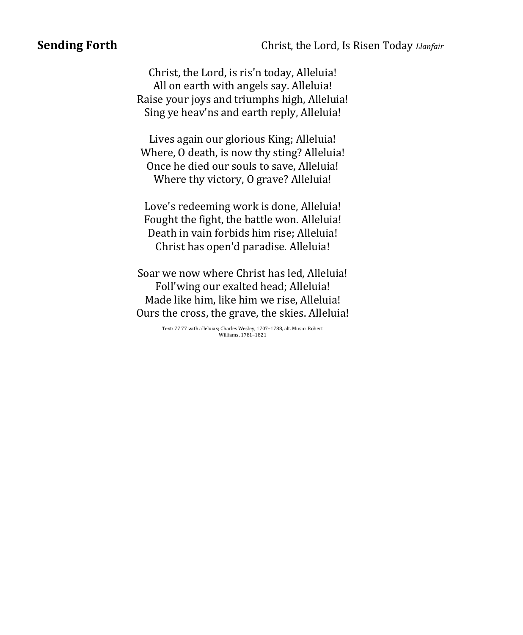Christ, the Lord, is ris'n today, Alleluia! All on earth with angels say. Alleluia! Raise your joys and triumphs high, Alleluia! Sing ye heav'ns and earth reply, Alleluia!

Lives again our glorious King; Alleluia! Where, O death, is now thy sting? Alleluia! Once he died our souls to save, Alleluia! Where thy victory, O grave? Alleluia!

Love's redeeming work is done, Alleluia! Fought the fight, the battle won. Alleluia! Death in vain forbids him rise; Alleluia! Christ has open'd paradise. Alleluia!

Soar we now where Christ has led, Alleluia! Foll'wing our exalted head; Alleluia! Made like him, like him we rise, Alleluia! Ours the cross, the grave, the skies. Alleluia!

> Text: 77 77 with alleluias; Charles Wesley, 1707–1788, alt. Music: Robert Williams, 1781–1821